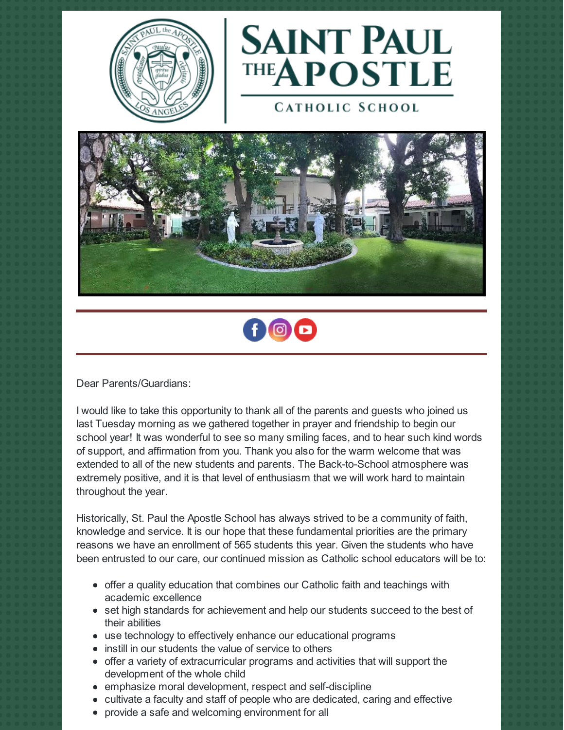



**CATHOLIC SCHOOL** 





Dear Parents/Guardians:

I would like to take this opportunity to thank all of the parents and guests who joined us last Tuesday morning as we gathered together in prayer and friendship to begin our school year! It was wonderful to see so many smiling faces, and to hear such kind words of support, and affirmation from you. Thank you also for the warm welcome that was extended to all of the new students and parents. The Back-to-School atmosphere was extremely positive, and it is that level of enthusiasm that we will work hard to maintain throughout the year.

Historically, St. Paul the Apostle School has always strived to be a community of faith, knowledge and service. It is our hope that these fundamental priorities are the primary reasons we have an enrollment of 565 students this year. Given the students who have been entrusted to our care, our continued mission as Catholic school educators will be to:

- offer a quality education that combines our Catholic faith and teachings with academic excellence
- set high standards for achievement and help our students succeed to the best of their abilities
- use technology to effectively enhance our educational programs
- instill in our students the value of service to others
- offer a variety of extracurricular programs and activities that will support the development of the whole child
- emphasize moral development, respect and self-discipline
- cultivate a faculty and staff of people who are dedicated, caring and effective
- provide a safe and welcoming environment for all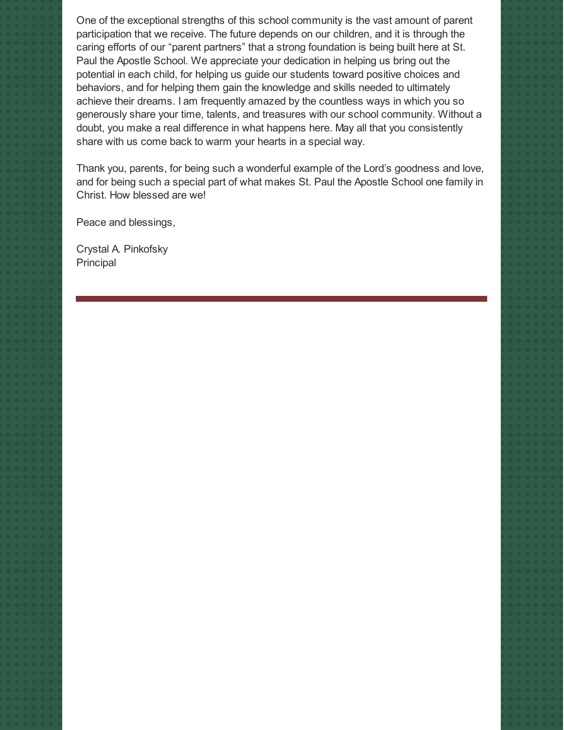One of the exceptional strengths of this school community is the vast amount of parent participation that we receive. The future depends on our children, and it is through the caring efforts of our "parent partners" that a strong foundation is being built here at St. Paul the Apostle School. We appreciate your dedication in helping us bring out the potential in each child, for helping us guide our students toward positive choices and behaviors, and for helping them gain the knowledge and skills needed to ultimately achieve their dreams. I am frequently amazed by the countless ways in which you so generously share your time, talents, and treasures with our school community. Without a doubt, you make a real difference in what happens here. May all that you consistently share with us come back to warm your hearts in a special way.

Thank you, parents, for being such a wonderful example of the Lord's goodness and love, and for being such a special part of what makes St. Paul the Apostle School one family in Christ. How blessed are we!

Peace and blessings,

Crystal A. Pinkofsky Principal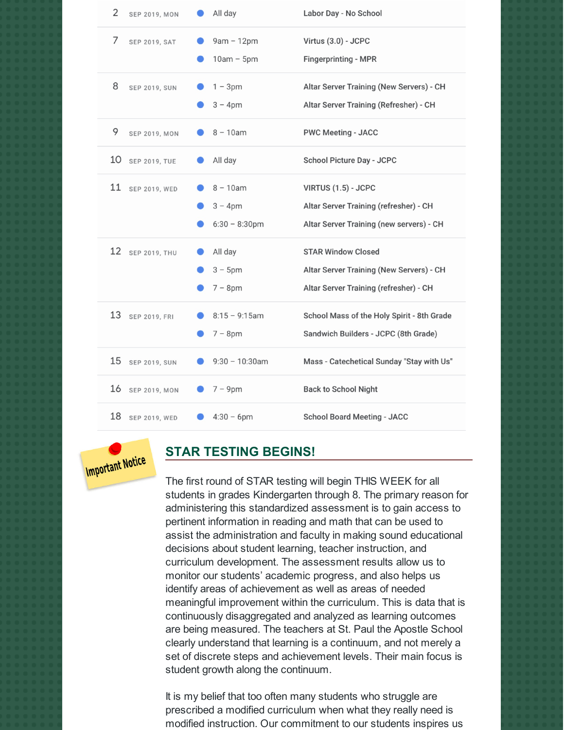| $\overline{2}$<br><b>SEP 2019, MON</b> | All day                                     | Labor Day - No School                                                                                           |
|----------------------------------------|---------------------------------------------|-----------------------------------------------------------------------------------------------------------------|
| 7<br>SEP 2019, SAT                     | $9am - 12pm$<br>$10am - 5pm$                | Virtus (3.0) - JCPC<br><b>Fingerprinting - MPR</b>                                                              |
| 8<br><b>SEP 2019, SUN</b>              | $1 - 3pm$<br>$3 - 4$ pm                     | Altar Server Training (New Servers) - CH<br>Altar Server Training (Refresher) - CH                              |
| 9<br><b>SEP 2019, MON</b>              | $8 - 10$ am                                 | <b>PWC Meeting - JACC</b>                                                                                       |
| 10<br><b>SEP 2019, TUE</b>             | All day                                     | School Picture Day - JCPC                                                                                       |
| 11<br>SEP 2019, WED                    | $8 - 10am$<br>$3 - 4pm$<br>$6:30 - 8:30$ pm | VIRTUS (1.5) - JCPC<br>Altar Server Training (refresher) - CH<br>Altar Server Training (new servers) - CH       |
| 12<br><b>SEP 2019, THU</b>             | All day<br>$3 - 5$ pm<br>$7 - 8pm$          | <b>STAR Window Closed</b><br>Altar Server Training (New Servers) - CH<br>Altar Server Training (refresher) - CH |
| 13<br>SEP 2019, FRI                    | $8:15 - 9:15$ am<br>$7 - 8pm$               | School Mass of the Holy Spirit - 8th Grade<br>Sandwich Builders - JCPC (8th Grade)                              |
| 15<br><b>SEP 2019, SUN</b>             | $9:30 - 10:30$ am                           | Mass - Catechetical Sunday "Stay with Us"                                                                       |
| 16<br>SEP 2019, MON                    | $7 - 9pm$                                   | <b>Back to School Night</b>                                                                                     |
| 18<br>SEP 2019, WED                    | $4:30 - 6$ pm                               | <b>School Board Meeting - JACC</b>                                                                              |

# **Important Notice**

#### **STAR TESTING BEGINS!**

The first round of STAR testing will begin THIS WEEK for all students in grades Kindergarten through 8. The primary reason for administering this standardized assessment is to gain access to pertinent information in reading and math that can be used to assist the administration and faculty in making sound educational decisions about student learning, teacher instruction, and curriculum development. The assessment results allow us to monitor our students' academic progress, and also helps us identify areas of achievement as well as areas of needed meaningful improvement within the curriculum. This is data that is continuously disaggregated and analyzed as learning outcomes are being measured. The teachers at St. Paul the Apostle School clearly understand that learning is a continuum, and not merely a set of discrete steps and achievement levels. Their main focus is student growth along the continuum.

It is my belief that too often many students who struggle are prescribed a modified curriculum when what they really need is modified instruction. Our commitment to our students inspires us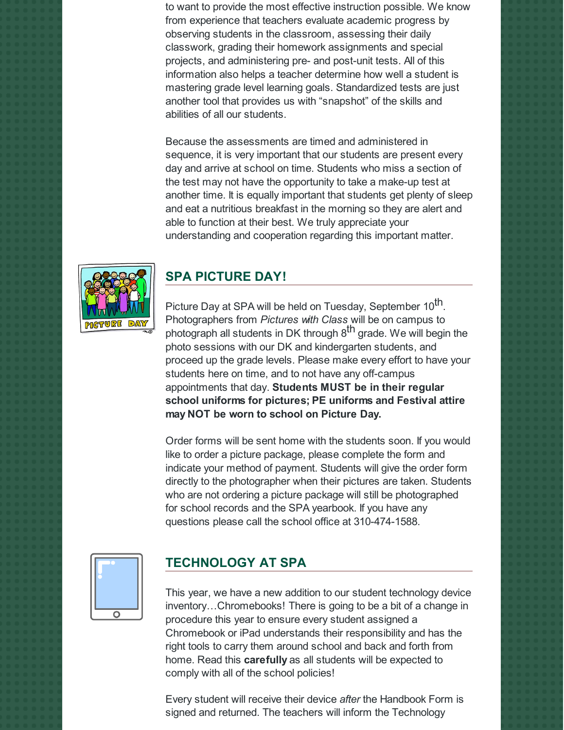to want to provide the most effective instruction possible. We know from experience that teachers evaluate academic progress by observing students in the classroom, assessing their daily classwork, grading their homework assignments and special projects, and administering pre- and post-unit tests. All of this information also helps a teacher determine how well a student is mastering grade level learning goals. Standardized tests are just another tool that provides us with "snapshot" of the skills and abilities of all our students.

Because the assessments are timed and administered in sequence, it is very important that our students are present every day and arrive at school on time. Students who miss a section of the test may not have the opportunity to take a make-up test at another time. It is equally important that students get plenty of sleep and eat a nutritious breakfast in the morning so they are alert and able to function at their best. We truly appreciate your understanding and cooperation regarding this important matter.



#### **SPA PICTURE DAY!**

Picture Day at SPA will be held on Tuesday, September 10 $^{\sf th}$ . Photographers from *Pictures with Class* will be on campus to photograph all students in DK through 8<sup>th</sup> grade. We will begin the photo sessions with our DK and kindergarten students, and proceed up the grade levels. Please make every effort to have your students here on time, and to not have any off-campus appointments that day. **Students MUST be in their regular school uniforms for pictures; PE uniforms and Festival attire may NOT be worn to school on Picture Day.**

Order forms will be sent home with the students soon. If you would like to order a picture package, please complete the form and indicate your method of payment. Students will give the order form directly to the photographer when their pictures are taken. Students who are not ordering a picture package will still be photographed for school records and the SPA yearbook. If you have any questions please call the school office at 310-474-1588.



#### **TECHNOLOGY AT SPA**

This year, we have a new addition to our student technology device inventory…Chromebooks! There is going to be a bit of a change in procedure this year to ensure every student assigned a Chromebook or iPad understands their responsibility and has the right tools to carry them around school and back and forth from home. Read this **carefully** as all students will be expected to comply with all of the school policies!

Every student will receive their device *after* the Handbook Form is signed and returned. The teachers will inform the Technology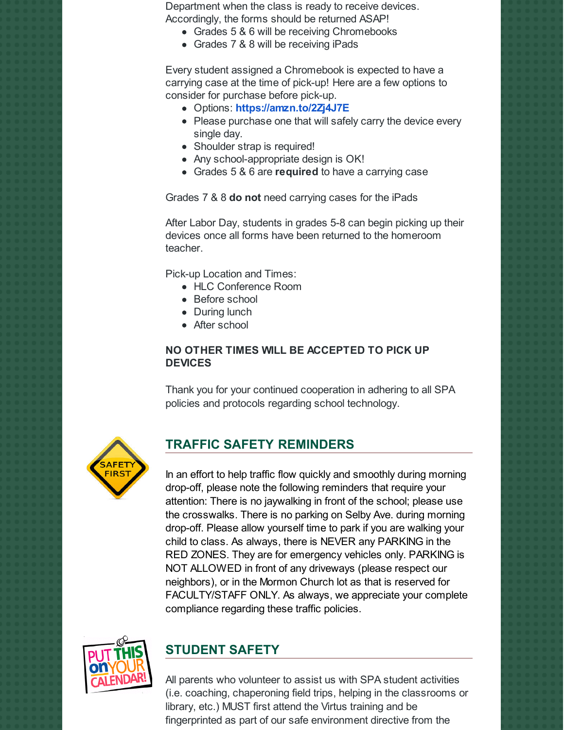Department when the class is ready to receive devices. Accordingly, the forms should be returned ASAP!

- Grades 5 & 6 will be receiving Chromebooks
- Grades 7 & 8 will be receiving iPads

Every student assigned a Chromebook is expected to have a carrying case at the time of pick-up! Here are a few options to consider for purchase before pick-up.

- Options: **<https://amzn.to/2Zj4J7E>**
- Please purchase one that will safely carry the device every single day.
- Shoulder strap is required!
- Any school-appropriate design is OK!
- Grades 5 & 6 are **required** to have a carrying case

Grades 7 & 8 **do not** need carrying cases for the iPads

After Labor Day, students in grades 5-8 can begin picking up their devices once all forms have been returned to the homeroom teacher.

Pick-up Location and Times:

- HLC Conference Room
- Before school
- During lunch
- After school

#### **NO OTHER TIMES WILL BE ACCEPTED TO PICK UP DEVICES**

Thank you for your continued cooperation in adhering to all SPA policies and protocols regarding school technology.



#### **TRAFFIC SAFETY REMINDERS**

In an effort to help traffic flow quickly and smoothly during morning drop-off, please note the following reminders that require your attention: There is no jaywalking in front of the school; please use the crosswalks. There is no parking on Selby Ave. during morning drop-off. Please allow yourself time to park if you are walking your child to class. As always, there is NEVER any PARKING in the RED ZONES. They are for emergency vehicles only. PARKING is NOT ALLOWED in front of any driveways (please respect our neighbors), or in the Mormon Church lot as that is reserved for FACULTY/STAFF ONLY. As always, we appreciate your complete compliance regarding these traffic policies.



### **STUDENT SAFETY**

All parents who volunteer to assist us with SPA student activities (i.e. coaching, chaperoning field trips, helping in the classrooms or library, etc.) MUST first attend the Virtus training and be fingerprinted as part of our safe environment directive from the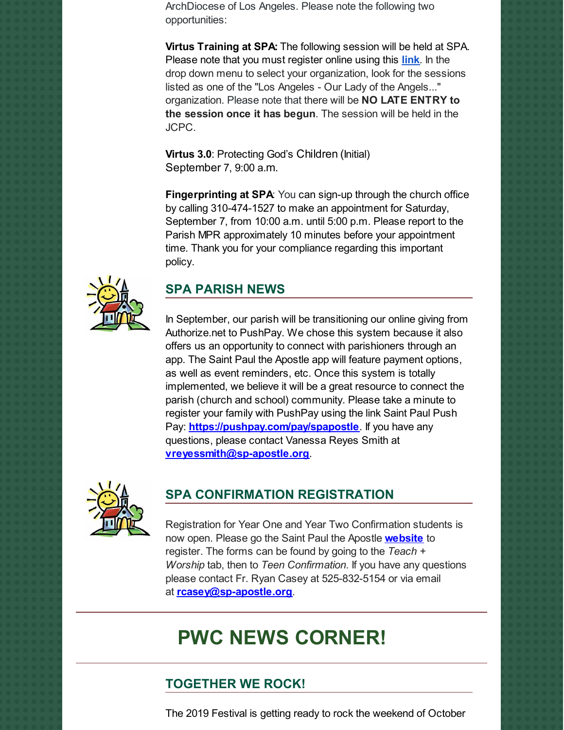ArchDiocese of Los Angeles. Please note the following two opportunities:

**Virtus Training at SPA:** The following session will be held at SPA. Please note that you must register online using this **[link](https://www.virtusonline.org/virtus/reg_list.cfm?theme=0)**. In the drop down menu to select your organization, look for the sessions listed as one of the "Los Angeles - Our Lady of the Angels..." organization. Please note that there will be **NO LATE ENTRY to the session once it has begun**. The session will be held in the JCPC.

**Virtus 3.0**: Protecting God's Children (Initial) September 7, 9:00 a.m.

**Fingerprinting at SPA**: You can sign-up through the church office by calling 310-474-1527 to make an appointment for Saturday, September 7, from 10:00 a.m. until 5:00 p.m. Please report to the Parish MPR approximately 10 minutes before your appointment time. Thank you for your compliance regarding this important policy.



#### **SPA PARISH NEWS**

In September, our parish will be transitioning our online giving from Authorize.net to PushPay. We chose this system because it also offers us an opportunity to connect with parishioners through an app. The Saint Paul the Apostle app will feature payment options, as well as event reminders, etc. Once this system is totally implemented, we believe it will be a great resource to connect the parish (church and school) community. Please take a minute to register your family with PushPay using the link Saint Paul Push Pay: **<https://pushpay.com/pay/spapostle>**. If you have any questions, please contact Vanessa Reyes Smith at **[vreyessmith@sp-apostle.org](mailto:vreyessmith@sp-apostle.org)**.



### **SPA CONFIRMATION REGISTRATION**

Registration for Year One and Year Two Confirmation students is now open. Please go the Saint Paul the Apostle **[website](http://www.sp-apostle.org/)** to register. The forms can be found by going to the *Teach + Worship* tab, then to *Teen Confirmation*. If you have any questions please contact Fr. Ryan Casey at 525-832-5154 or via email at **[rcasey@sp-apostle.org](mailto:rcasey@sp-apostle.org)**.

## **PWC NEWS CORNER!**

#### **TOGETHER WE ROCK!**

The 2019 Festival is getting ready to rock the weekend of October